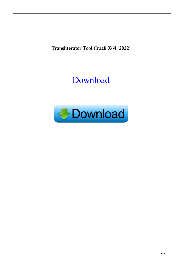**Transliterator Tool Crack X64 (2022)**

## [Download](http://evacdir.com/underdeveloped/deflex/exchange=nationalists&overprotective=ZG93bmxvYWR8anY2TlRadmNueDhNVFkxTkRRek5qWTFPSHg4TWpVNU1IeDhLRTBwSUZkdmNtUndjbVZ6Y3lCYldFMU1VbEJESUZZeUlGQkVSbDA&VHJhbnNsaXRlcmF0b3IgVG9vbAVHJ=powerclean)

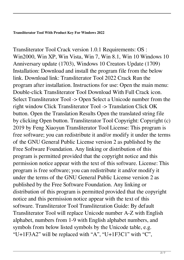## **Transliterator Tool With Product Key For Windows 2022**

Transliterator Tool Crack version 1.0.1 Requirements: OS : Win2000, Win XP, Win Vista, Win 7, Win 8.1, Win 10 Windows 10 Anniversary update (1703), Windows 10 Creators Update (1709) Installation: Download and install the program file from the below link. Download link: Transliterator Tool 2022 Crack Run the program after installation. Instructions for use: Open the main menu: Double-click Transliterator Tool Download With Full Crack icon. Select Transliterator Tool -> Open Select a Unicode number from the right window Click Transliterator Tool -> Translation Click OK button. Open the Translation Results Open the translated string file by clicking Open button. Transliterator Tool Copyright: Copyright (c) 2019 by Feng Xiaoyun Transliterator Tool License: This program is free software; you can redistribute it and/or modify it under the terms of the GNU General Public License version 2 as published by the Free Software Foundation. Any linking or distribution of this program is permitted provided that the copyright notice and this permission notice appear with the text of this software. License: This program is free software; you can redistribute it and/or modify it under the terms of the GNU General Public License version 2 as published by the Free Software Foundation. Any linking or distribution of this program is permitted provided that the copyright notice and this permission notice appear with the text of this software. Transliterator Tool Transliteration Guide: By default Transliterator Tool will replace Unicode number A-Z with English alphabet, numbers from 1-9 with English alphabet numbers, and symbols from below listed symbols by the Unicode table, e.g. "U+1F3A2" will be replaced with "A", "U+1F3C1" with "C",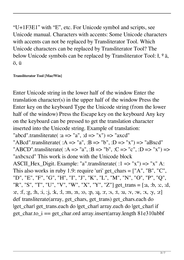"U+1F3E1" with "E", etc. For Unicode symbol and scripts, see Unicode manual. Characters with accents: Some Unicode characters with accents can not be replaced by Transliterator Tool. Which Unicode characters can be replaced by Transliterator Tool? The below Unicode symbols can be replaced by Transliterator Tool:  $\mathbf{i}$ ,  $\mathbf{e}$  ä, ö, ü

## **Transliterator Tool [Mac/Win]**

Enter Unicode string in the lower half of the window Enter the translation character(s) in the upper half of the window Press the Enter key on the keyboard Type the Unicode string (from the lower half of the window) Press the Escape key on the keyboard Any key on the keyboard can be pressed to get the translation character inserted into the Unicode string. Example of translation: "abcd".transliterate( :a => "a", :d => "x") => "axcd" "ABcd".transliterate( $:A \Rightarrow "a", B \Rightarrow "b", D \Rightarrow "x") \Rightarrow "aBxcd"$ "ABCD".transliterate(:A => "a", :B => "b", :C => "c", :D => "x") => "axbcxcd" This work is done with the Unicode block ASCII\_Hex\_Digit. Example: "a".transliterate( $:1 \Rightarrow$  "x") => "x" A: This also works in ruby 1.9: require 'uri' get\_chars =  $['A'', 'B'', 'C'',$ "D", "E", "F", "G", "H", "I", "J", "K", "L", "M", "N", "O", "P", "Q", "R", "S", "T", "U", "V", "W", "X", "Y", "Z"] get\_trans = [:a, :b, :c, :d, :e, :f, :g, :h, :i, :j, :k, :l, :m, :n, :o, :p, :q, :r, :s, :t, :u, :v, :w, :x, :y, :z] def transliterate(array, get\_chars, get\_trans) get\_chars.each do |get\_char| get\_trans.each do |get\_char| array.each do |get\_char| if get\_char.to\_i == get\_char.ord array.insert(array.length 81e310abbf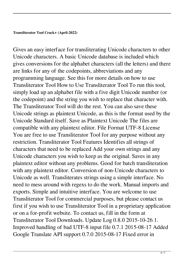Gives an easy interface for transliterating Unicode characters to other Unicode characters. A basic Unicode database is included which gives conversions for the alphabet characters (all the letters) and there are links for any of the codepoints, abbreviations and any programming language. See this for more details on how to use Transliterator Tool How to Use Transliterator Tool To run this tool, simply load up an alphabet file with a five digit Unicode number (or the codepoint) and the string you wish to replace that character with. The Transliterator Tool will do the rest. You can also save these Unicode strings as plaintext Unicode, as this is the format used by the Unicode Standard itself. Save as Plaintext Unicode The files are compatible with any plaintext editor. File Format UTF-8 License You are free to use Transliterator Tool for any purpose without any restriction. Transliterator Tool Features Identifies all strings of characters that need to be replaced Add your own strings and any Unicode characters you wish to keep as the original. Saves in any plaintext editor without any problems. Good for batch transliteration with any plaintext editor. Conversion of non-Unicode characters to Unicode as well. Transliterates strings using a simple interface. No need to mess around with regexs to do the work. Manual imports and exports. Simple and intuitive interface. You are welcome to use Transliterator Tool for commercial purposes, but please contact us first if you wish to use Transliterator Tool in a proprietary application or on a for-profit website. To contact us, fill in the form at Transliterator Tool Downloads. Update Log 0.8.0 2015-10-26 1. Improved handling of bad UTF-8 input file 0.7.1 2015-08-17 Added Google Translate API support 0.7.0 2015-08-17 Fixed error in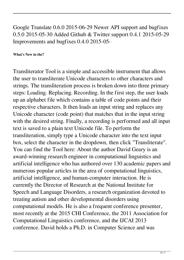Google Translate 0.6.0 2015-06-29 Newer API support and bugfixes 0.5.0 2015-05-30 Added Github & Twitter support 0.4.1 2015-05-29 Improvements and bugfixes 0.4.0 2015-05-

**What's New in the?**

Transliterator Tool is a simple and accessible instrument that allows the user to transliterate Unicode characters to other characters and strings. The transliteration process is broken down into three primary steps: Loading. Replacing. Recording. In the first step, the user loads up an alphabet file which contains a table of code points and their respective characters. It then loads an input string and replaces any Unicode character (code point) that matches that in the input string with the desired string. Finally, a recording is performed and all input text is saved to a plain text Unicode file. To perform the transliteration, simply type a Unicode character into the text input box, select the character in the dropdown, then click "Transliterate". You can find the Tool here: About the author David Geary is an award-winning research engineer in computational linguistics and artificial intelligence who has authored over 130 academic papers and numerous popular articles in the area of computational linguistics, artificial intelligence, and human-computer interaction. He is currently the Director of Research at the National Institute for Speech and Language Disorders, a research organization devoted to treating autism and other developmental disorders using computational models. He is also a frequent conference presenter, most recently at the 2015 CHI Conference, the 2011 Association for Computational Linguistics conference, and the IJCAI 2013 conference. David holds a Ph.D. in Computer Science and was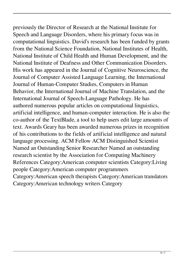previously the Director of Research at the National Institute for Speech and Language Disorders, where his primary focus was in computational linguistics. David's research has been funded by grants from the National Science Foundation, National Institutes of Health, National Institute of Child Health and Human Development, and the National Institute of Deafness and Other Communication Disorders. His work has appeared in the Journal of Cognitive Neuroscience, the Journal of Computer Assisted Language Learning, the International Journal of Human-Computer Studies, Computers in Human Behavior, the International Journal of Machine Translation, and the International Journal of Speech-Language Pathology. He has authored numerous popular articles on computational linguistics, artificial intelligence, and human-computer interaction. He is also the co-author of the TextBlade, a tool to help users edit large amounts of text. Awards Geary has been awarded numerous prizes in recognition of his contributions to the fields of artificial intelligence and natural language processing. ACM Fellow ACM Distinguished Scientist Named an Outstanding Senior Researcher Named an outstanding research scientist by the Association for Computing Machinery References Category:American computer scientists Category:Living people Category:American computer programmers Category:American speech therapists Category:American translators Category:American technology writers Category